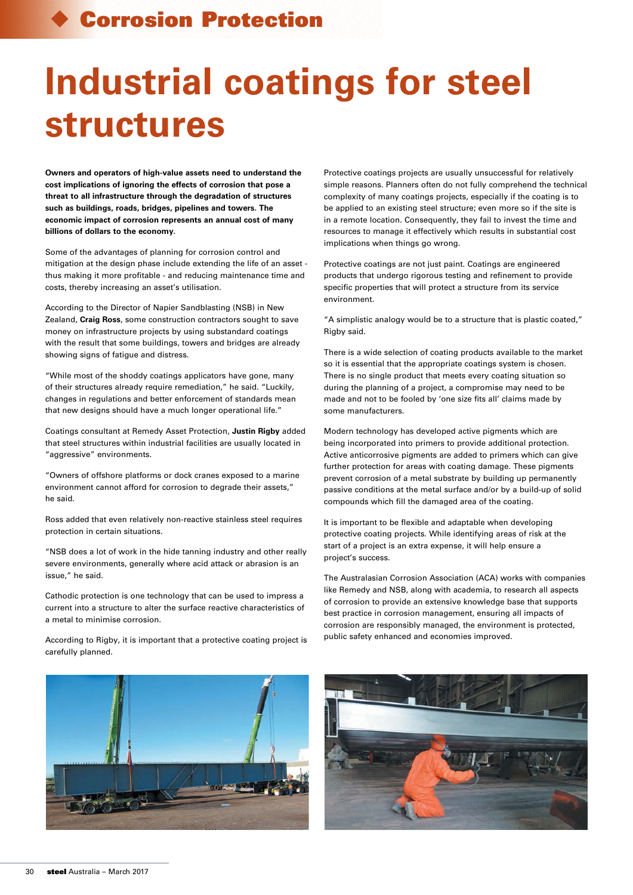## Corrosion Protection

## **Industrial coatings for steel structures**

**Owners and operators of high-value assets need to understand the cost implications of ignoring the effects of corrosion that pose a threat to all infrastructure through the degradation of structures such as buildings, roads, bridges, pipelines and towers. The economic impact of corrosion represents an annual cost of many billions of dollars to the economy.**

Some of the advantages of planning for corrosion control and mitigation at the design phase include extending the life of an asset thus making it more profitable - and reducing maintenance time and costs, thereby increasing an asset's utilisation.

According to the Director of Napier Sandblasting (NSB) in New Zealand, **Craig Ross**, some construction contractors sought to save money on infrastructure projects by using substandard coatings with the result that some buildings, towers and bridges are already showing signs of fatigue and distress.

"While most of the shoddy coatings applicators have gone, many of their structures already require remediation," he said. "Luckily, changes in regulations and better enforcement of standards mean that new designs should have a much longer operational life."

Coatings consultant at Remedy Asset Protection, **Justin Rigby** added that steel structures within industrial facilities are usually located in "aggressive" environments.

"Owners of offshore platforms or dock cranes exposed to a marine environment cannot afford for corrosion to degrade their assets," he said.

Ross added that even relatively non-reactive stainless steel requires protection in certain situations.

"NSB does a lot of work in the hide tanning industry and other really severe environments, generally where acid attack or abrasion is an issue," he said.

Cathodic protection is one technology that can be used to impress a current into a structure to alter the surface reactive characteristics of a metal to minimise corrosion.

According to Rigby, it is important that a protective coating project is carefully planned.

Protective coatings projects are usually unsuccessful for relatively simple reasons. Planners often do not fully comprehend the technical complexity of many coatings projects, especially if the coating is to be applied to an existing steel structure; even more so if the site is in a remote location. Consequently, they fail to invest the time and resources to manage it effectively which results in substantial cost implications when things go wrong.

Protective coatings are not just paint. Coatings are engineered products that undergo rigorous testing and refinement to provide specific properties that will protect a structure from its service environment.

"A simplistic analogy would be to a structure that is plastic coated," Rigby said.

There is a wide selection of coating products available to the market so it is essential that the appropriate coatings system is chosen. There is no single product that meets every coating situation so during the planning of a project, a compromise may need to be made and not to be fooled by 'one size fits all' claims made by some manufacturers.

Modern technology has developed active pigments which are being incorporated into primers to provide additional protection. Active anticorrosive pigments are added to primers which can give further protection for areas with coating damage. These pigments prevent corrosion of a metal substrate by building up permanently passive conditions at the metal surface and/or by a build-up of solid compounds which fill the damaged area of the coating.

It is important to be flexible and adaptable when developing protective coating projects. While identifying areas of risk at the start of a project is an extra expense, it will help ensure a project's success.

The Australasian Corrosion Association (ACA) works with companies like Remedy and NSB, along with academia, to research all aspects of corrosion to provide an extensive knowledge base that supports best practice in corrosion management, ensuring all impacts of corrosion are responsibly managed, the environment is protected, public safety enhanced and economies improved.